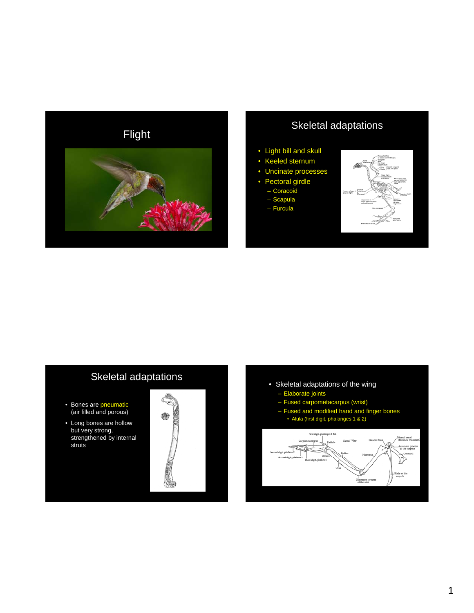

### • Light bill and skull

- Keeled sternum
- Uncinate processes
- Pectoral girdle
	- Coracoid
	- Scapula
	- Furcula



## Skeletal adaptations

- Bones are pneumatic (air filled and porous)
- Long bones are hollow but very strong, strengthened by internal struts



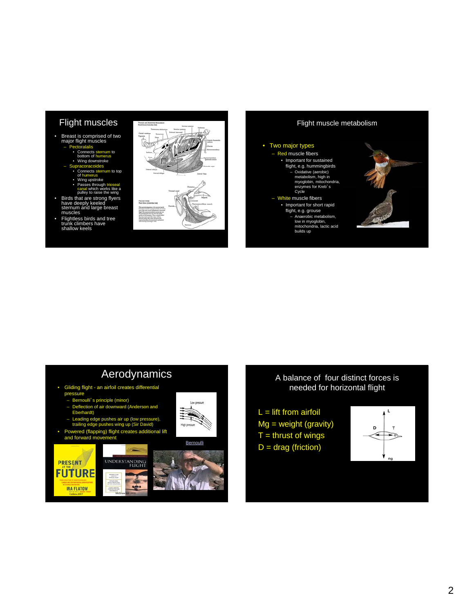- Breast is comprised of two major flight muscles
	- alalis entilential<br>tom of humerus
	- Wing downstroke
	- Supracoracoides ects sternum to top
		-
		- Wing upstroke
		- Passes through trioseal<br>canal which works like a<br>pulley to raise the wing
	-
- Birds that are strong flyers<br>have deeply keeled<br>sternum and large breast<br>muscles<br>• Flightless birds and tree<br>trunk climbers have<br>shallow keels
- 







### $\mathsf L$  $\mathsf T$

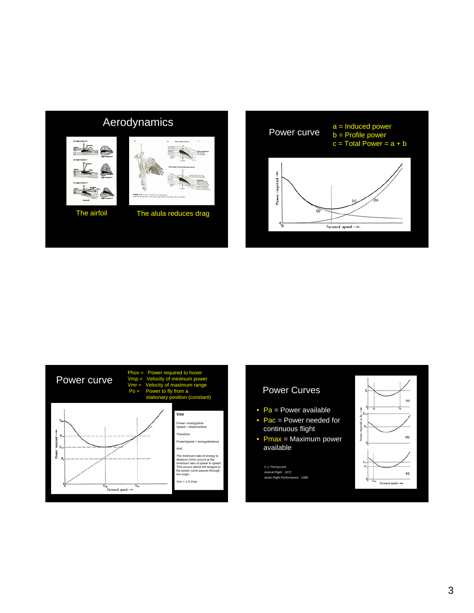# Aerodynamics







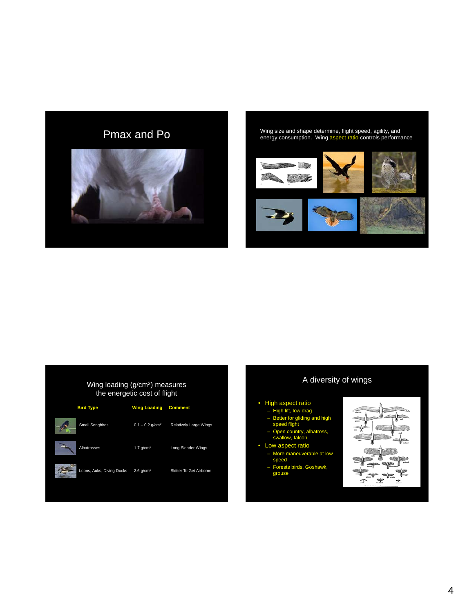



#### Wing loading (g/cm<sup>2</sup>) measures the energetic cost of flight



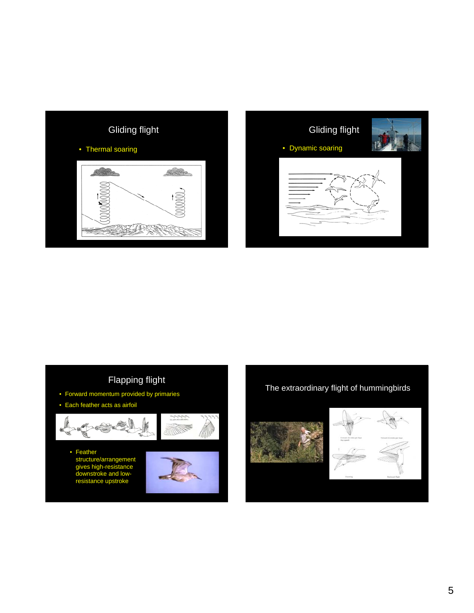





• Feather structure/arrangement gives high-resistance downstroke and lowresistance upstroke